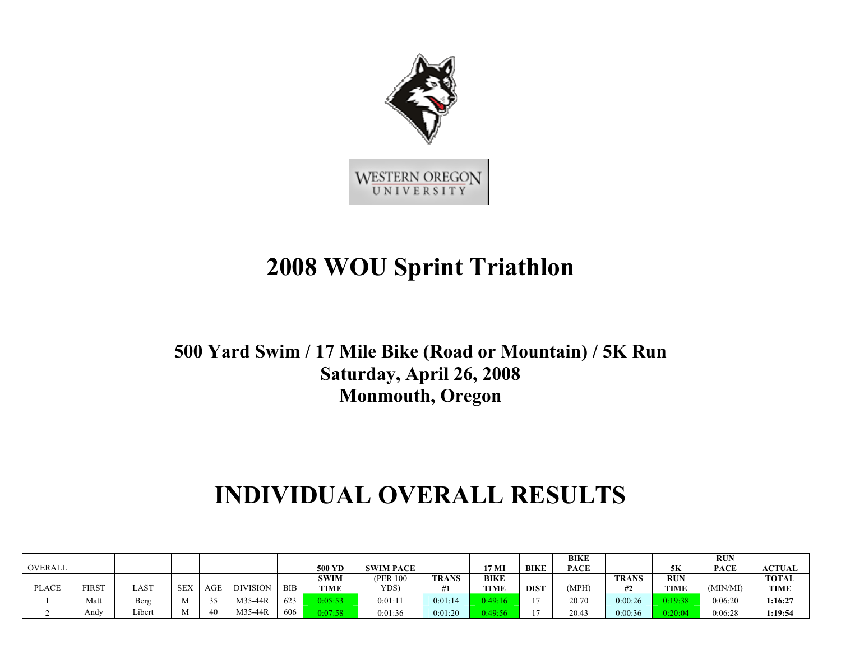

## **2008 WOU Sprint Triathlon**

## **500 Yard Swim / 17 Mile Bike (Road or Mountain) / 5K Run Saturday, April 26, 2008 Monmouth, Oregon**

## **INDIVIDUAL OVERALL RESULTS**

|              |              |      |                    |     |                 |            |               |                  |              |             |             | <b>BIKE</b> |              |             | <b>RUP</b> |               |
|--------------|--------------|------|--------------------|-----|-----------------|------------|---------------|------------------|--------------|-------------|-------------|-------------|--------------|-------------|------------|---------------|
| OVERALL      |              |      |                    |     |                 |            | <b>500 YD</b> | <b>SWIM PACE</b> |              | 17 MI       | <b>BIKE</b> | <b>PACE</b> |              | 5Κ          | PACE       | <b>ACTUAL</b> |
|              |              |      |                    |     |                 |            | SWIM          | (PER 100)        | <b>TRANS</b> | <b>BIKE</b> |             |             | <b>TRANS</b> | <b>RUN</b>  |            | <b>TOTAL</b>  |
| <b>PLACE</b> | <b>FIRST</b> | LAST | <b>SEY</b><br>″∠∟د | AGE | <b>DIVISION</b> | <b>BIB</b> | <b>TIME</b>   | YDS)             |              | TIME        | <b>DIST</b> | MPH)        | #2           | <b>TIME</b> | (MIN/MI)   | TIME          |
|              |              |      |                    |     |                 |            |               |                  |              |             |             |             |              |             |            |               |
|              | Matt         | Berg |                    | 25  | M35-44R         | 623        | 0:05:53       | 0:01:11          | 0:01:14      | 9:49:1      |             | 20.70       | 0:00:26      | 0.19.38     | 0:06:20    | 1:16:27       |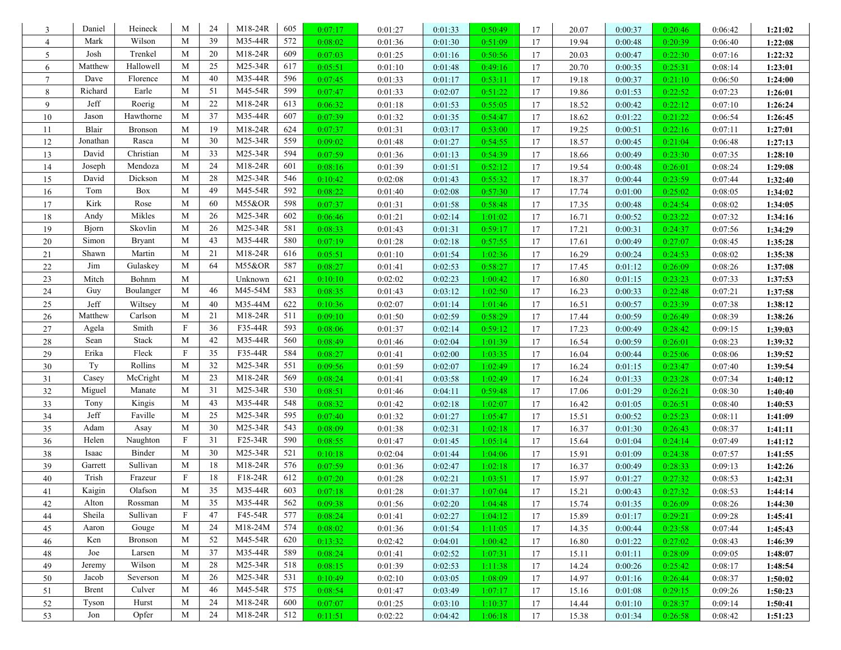| 3              | Daniel       | Heineck        | M                         | 24 | M18-24R | 605 | 0:07:17 | 0:01:27 | 0:01:33 | 0:50:49 | 17 | 20.07 | 0:00:37 | 0:20:46 | 0:06:42 | 1:21:02 |
|----------------|--------------|----------------|---------------------------|----|---------|-----|---------|---------|---------|---------|----|-------|---------|---------|---------|---------|
| $\overline{4}$ | Mark         | Wilson         | M                         | 39 | M35-44R | 572 | 0:08:02 | 0:01:36 | 0:01:30 | 0:51:09 | 17 | 19.94 | 0:00:48 | 0:20:39 | 0:06:40 | 1:22:08 |
| 5              | Josh         | Trenkel        | M                         | 20 | M18-24R | 609 | 0:07:03 | 0:01:25 | 0:01:16 | 0:50:56 | 17 | 20.03 | 0:00:47 | 0:22:30 | 0:07:16 | 1:22:32 |
| 6              | Matthew      | Hallowell      | M                         | 25 | M25-34R | 617 | 0:05:51 | 0:01:10 | 0:01:48 | 0:49:16 | 17 | 20.70 | 0:00:35 | 0:25:31 | 0:08:14 | 1:23:01 |
| $\overline{7}$ | Dave         | Florence       | M                         | 40 | M35-44R | 596 | 0:07:45 | 0:01:33 | 0:01:17 | 0:53:11 | 17 | 19.18 | 0:00:37 | 0:21:10 | 0:06:50 | 1:24:00 |
| 8              | Richard      | Earle          | M                         | 51 | M45-54R | 599 | 0:07:47 | 0:01:33 | 0:02:07 | 0:51:22 | 17 | 19.86 | 0:01:53 | 0:22:52 | 0:07:23 | 1:26:01 |
| 9              | Jeff         | Roerig         | M                         | 22 | M18-24R | 613 | 0:06:32 | 0:01:18 | 0:01:53 | 0:55:05 | 17 | 18.52 | 0:00:42 | 0:22:12 | 0:07:10 | 1:26:24 |
| 10             | Jason        | Hawthorne      | M                         | 37 | M35-44R | 607 | 0:07:39 | 0:01:32 | 0:01:35 | 0:54:47 | 17 | 18.62 | 0:01:22 | 0:21:22 | 0:06:54 | 1:26:45 |
| 11             | Blair        | <b>Bronson</b> | M                         | 19 | M18-24R | 624 | 0:07:37 | 0:01:31 | 0:03:17 | 0:53:00 | 17 | 19.25 | 0:00:51 | 0:22:16 | 0:07:11 | 1:27:01 |
| 12             | Jonathan     | Rasca          | M                         | 30 | M25-34R | 559 | 0:09:02 | 0:01:48 | 0:01:27 | 0:54:55 | 17 | 18.57 | 0:00:45 | 0:21:04 | 0:06:48 | 1:27:13 |
| 13             | David        | Christian      | M                         | 33 | M25-34R | 594 | 0:07:59 | 0:01:36 | 0:01:13 | 0:54:39 | 17 | 18.66 | 0:00:49 | 0:23:30 | 0:07:35 | 1:28:10 |
| 14             | Joseph       | Mendoza        | M                         | 24 | M18-24R | 601 | 0:08:16 | 0:01:39 | 0:01:51 | 0:52:12 | 17 | 19.54 | 0:00:48 | 0:26:01 | 0:08:24 | 1:29:08 |
| 15             | David        | Dickson        | M                         | 28 | M25-34R | 546 | 0:10:42 | 0:02:08 | 0:01:43 | 0:55:32 | 17 | 18.37 | 0:00:44 | 0:23:59 | 0:07:44 | 1:32:40 |
| 16             | Tom          | Box            | M                         | 49 | M45-54R | 592 | 0:08:22 | 0:01:40 | 0:02:08 | 0:57:30 | 17 | 17.74 | 0:01:00 | 0:25:02 | 0:08:05 | 1:34:02 |
| 17             | Kirk         | Rose           | M                         | 60 | M55&OR  | 598 | 0:07:37 | 0:01:31 | 0:01:58 | 0:58:48 | 17 | 17.35 | 0:00:48 | 0:24:54 | 0:08:02 | 1:34:05 |
| 18             | Andy         | Mikles         | M                         | 26 | M25-34R | 602 | 0:06:46 | 0:01:21 | 0:02:14 | 1:01:02 | 17 | 16.71 | 0:00:52 | 0:23:22 | 0:07:32 | 1:34:16 |
| 19             | Bjorn        | Skovlin        | M                         | 26 | M25-34R | 581 | 0:08:33 | 0:01:43 | 0:01:31 | 0:59:17 | 17 | 17.21 | 0:00:31 | 0:24:37 | 0:07:56 | 1:34:29 |
| 20             | Simon        | <b>Bryant</b>  | M                         | 43 | M35-44R | 580 | 0:07:19 | 0:01:28 | 0:02:18 | 0:57:55 | 17 | 17.61 | 0:00:49 | 0:27:07 | 0:08:45 | 1:35:28 |
| 21             | Shawn        | Martin         | M                         | 21 | M18-24R | 616 | 0:05:51 | 0:01:10 | 0:01:54 | 1:02:36 | 17 | 16.29 | 0:00:24 | 0:24:53 | 0:08:02 | 1:35:38 |
| 22             | Jim          | Gulaskey       | M                         | 64 | M55&OR  | 587 | 0:08:27 | 0:01:41 | 0:02:53 | 0:58:27 | 17 | 17.45 | 0:01:12 | 0:26:09 | 0:08:26 | 1:37:08 |
| 23             | Mitch        | Bohnm          | M                         |    | Unknown | 621 | 0:10:10 | 0:02:02 | 0:02:23 | 1:00:42 | 17 | 16.80 | 0:01:15 | 0:23:23 | 0:07:33 | 1:37:53 |
| 24             | Guy          | Boulanger      | M                         | 46 | M45-54M | 583 | 0:08:35 | 0:01:43 | 0:03:12 | 1:02:50 | 17 | 16.23 | 0:00:33 | 0:22:48 | 0:07:21 | 1:37:58 |
| 25             | Jeff         | Wiltsey        | M                         | 40 | M35-44M | 622 | 0:10:36 | 0:02:07 | 0:01:14 | 1:01:46 | 17 | 16.51 | 0:00:57 | 0:23:39 | 0:07:38 | 1:38:12 |
| $26\,$         | Matthew      | Carlson        | M                         | 21 | M18-24R | 511 | 0:09:10 | 0:01:50 | 0:02:59 | 0:58:29 | 17 | 17.44 | 0:00:59 | 0:26:49 | 0:08:39 | 1:38:26 |
| $27\,$         | Agela        | Smith          | $\mathbf{F}$              | 36 | F35-44R | 593 | 0:08:06 | 0:01:37 | 0:02:14 | 0:59:12 | 17 | 17.23 | 0:00:49 | 0:28:42 | 0:09:15 | 1:39:03 |
| 28             | Sean         | Stack          | M                         | 42 | M35-44R | 560 | 0:08:49 | 0:01:46 | 0:02:04 | 1:01:39 | 17 | 16.54 | 0:00:59 | 0:26:01 | 0:08:23 | 1:39:32 |
| 29             | Erika        | Fleck          | $\mathbf{F}$              | 35 | F35-44R | 584 | 0:08:27 | 0:01:41 | 0:02:00 | 1:03:35 | 17 | 16.04 | 0:00:44 | 0:25:06 | 0:08:06 | 1:39:52 |
| 30             | Ty           | Rollins        | M                         | 32 | M25-34R | 551 | 0:09:56 | 0:01:59 | 0:02:07 | 1:02:49 | 17 | 16.24 | 0:01:15 | 0:23:47 | 0:07:40 | 1:39:54 |
| 31             | Casey        | McCright       | M                         | 23 | M18-24R | 569 | 0:08:24 | 0:01:41 | 0:03:58 | 1:02:49 | 17 | 16.24 | 0:01:33 | 0:23:28 | 0:07:34 | 1:40:12 |
| 32             | Miguel       | Manate         | M                         | 31 | M25-34R | 530 | 0:08:51 | 0:01:46 | 0:04:11 | 0:59:48 | 17 | 17.06 | 0:01:29 | 0:26:21 | 0:08:30 | 1:40:40 |
| 33             | Tony         | Kingis         | M                         | 43 | M35-44R | 548 | 0:08:32 | 0:01:42 | 0:02:18 | 1:02:07 | 17 | 16.42 | 0:01:05 | 0:26:51 | 0:08:40 | 1:40:53 |
| 34             | Jeff         | Faville        | M                         | 25 | M25-34R | 595 | 0:07:40 | 0:01:32 | 0:01:27 | 1:05:47 | 17 | 15.51 | 0:00:52 | 0:25:23 | 0:08:11 | 1:41:09 |
| 35             | Adam         | Asay           | M                         | 30 | M25-34R | 543 | 0:08:09 | 0:01:38 | 0:02:31 | 1:02:18 | 17 | 16.37 | 0:01:30 | 0:26:43 | 0:08:37 | 1:41:11 |
| 36             | Helen        | Naughton       | $\boldsymbol{\mathrm{F}}$ | 31 | F25-34R | 590 | 0:08:55 | 0:01:47 | 0:01:45 | 1:05:14 | 17 | 15.64 | 0:01:04 | 0:24:14 | 0:07:49 | 1:41:12 |
| 38             | Isaac        | Binder         | M                         | 30 | M25-34R | 521 | 0:10:18 | 0:02:04 | 0:01:44 | 1:04:06 | 17 | 15.91 | 0:01:09 | 0:24:38 | 0:07:57 | 1:41:55 |
| 39             | Garrett      | Sullivan       | M                         | 18 | M18-24R | 576 | 0:07:59 | 0:01:36 | 0:02:47 | 1:02:18 | 17 | 16.37 | 0:00:49 | 0:28:33 | 0:09:13 | 1:42:26 |
| 40             | Trish        | Frazeur        | $\mathbf{F}$              | 18 | F18-24R | 612 | 0:07:20 | 0:01:28 | 0:02:21 | 1:03:51 | 17 | 15.97 | 0:01:27 | 0:27:32 | 0:08:53 | 1:42:31 |
| 41             | Kaigin       | Olafson        | M                         | 35 | M35-44R | 603 | 0:07:18 | 0:01:28 | 0:01:37 | 1:07:04 | 17 | 15.21 | 0:00:43 | 0:27:32 | 0:08:53 | 1:44:14 |
| 42             | Alton        | Rossman        | M                         | 35 | M35-44R | 562 | 0:09:38 | 0:01:56 | 0:02:20 | 1:04:48 | 17 | 15.74 | 0:01:35 | 0:26:09 | 0:08:26 | 1:44:30 |
| 44             | Sheila       | Sullivan       | $\mathbf{F}$              | 47 | F45-54R | 577 | 0:08:24 | 0:01:41 | 0:02:27 | 1:04:12 | 17 | 15.89 | 0:01:17 | 0:29:21 | 0:09:28 | 1:45:41 |
| 45             | Aaron        | Gouge          | M                         | 24 | M18-24M | 574 | 0:08:02 | 0:01:36 | 0:01:54 | 1:11:05 | 17 | 14.35 | 0:00:44 | 0:23:58 | 0:07:44 | 1:45:43 |
| 46             | Ken          | <b>Bronson</b> | M                         | 52 | M45-54R | 620 | 0:13:32 | 0:02:42 | 0:04:01 | 1:00:42 | 17 | 16.80 | 0:01:22 | 0:27:02 | 0:08:43 | 1:46:39 |
| $48\,$         | Joe          | Larsen         | M                         | 37 | M35-44R | 589 | 0:08:24 | 0:01:41 | 0:02:52 | 1:07:31 | 17 | 15.11 | 0:01:11 | 0:28:09 | 0:09:05 | 1:48:07 |
| 49             | Jeremy       | Wilson         | M                         | 28 | M25-34R | 518 | 0:08:15 | 0:01:39 | 0:02:53 | 1:11:38 | 17 | 14.24 | 0:00:26 | 0:25:42 | 0:08:17 | 1:48:54 |
| 50             | Jacob        | Severson       | M                         | 26 | M25-34R | 531 | 0:10:49 | 0:02:10 | 0:03:05 | 1:08:09 | 17 | 14.97 | 0:01:16 | 0:26:44 | 0:08:37 | 1:50:02 |
| 51             | <b>Brent</b> | Culver         | M                         | 46 | M45-54R | 575 | 0:08:54 | 0:01:47 | 0:03:49 | 1:07:17 | 17 | 15.16 | 0:01:08 | 0:29:15 | 0:09:26 | 1:50:23 |
| 52             | Tyson        | Hurst          | M                         | 24 | M18-24R | 600 | 0:07:07 | 0:01:25 | 0:03:10 | 1:10:37 | 17 | 14.44 | 0:01:10 | 0:28:37 | 0:09:14 | 1:50:41 |
| 53             | Jon          | Opfer          | M                         | 24 | M18-24R | 512 | 0:11:51 | 0:02:22 | 0:04:42 | 1:06:18 | 17 | 15.38 | 0:01:34 | 0:26:58 | 0:08:42 | 1:51:23 |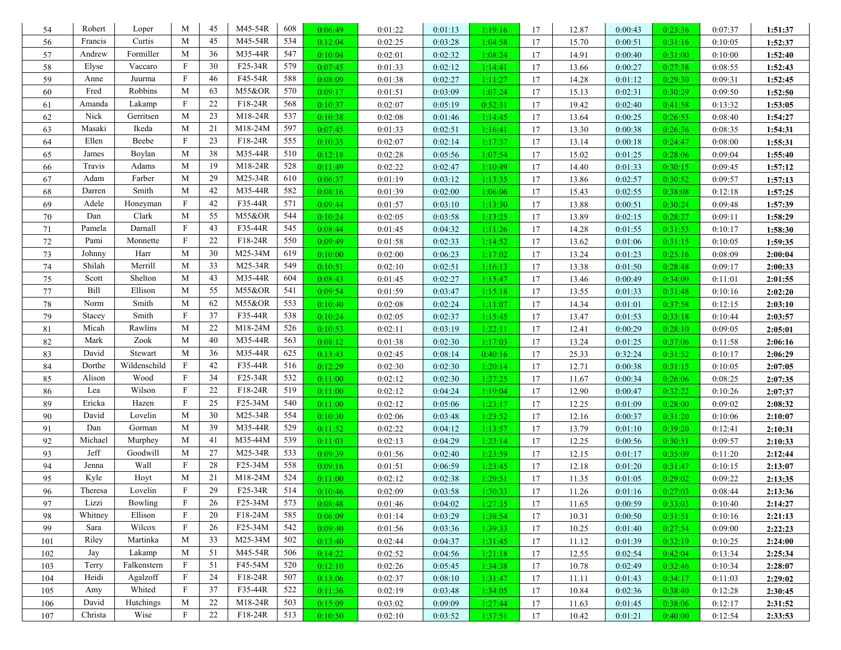| 54      | Robert  | Loper        | M                         | 45 | M45-54R | 608 | 0:06:49 | 0:01:22 | 0:01:13 | 1:19:16 | 17 | 12.87 | 0:00:43 | 0:23:36 | 0:07:37 | 1:51:37 |
|---------|---------|--------------|---------------------------|----|---------|-----|---------|---------|---------|---------|----|-------|---------|---------|---------|---------|
| 56      | Francis | Curtis       | M                         | 45 | M45-54R | 534 | 0:12:04 | 0:02:25 | 0:03:28 | 1:04:58 | 17 | 15.70 | 0:00:51 | 0:31:16 | 0:10:05 | 1:52:37 |
| 57      | Andrew  | Formiller    | M                         | 36 | M35-44R | 547 | 0:10:04 | 0:02:01 | 0:02:32 | 1:08:24 | 17 | 14.91 | 0:00:40 | 0:31:00 | 0:10:00 | 1:52:40 |
| 58      | Elyse   | Vaccaro      | $\mathbf{F}$              | 30 | F25-34R | 579 | 0:07:45 | 0:01:33 | 0:02:12 | 1:14:41 | 17 | 13.66 | 0:00:27 | 0:27:38 | 0:08:55 | 1:52:43 |
| 59      | Anne    | Juurma       | $\mathbf F$               | 46 | F45-54R | 588 | 0:08:09 | 0:01:38 | 0:02:27 | 1:11:27 | 17 | 14.28 | 0:01:12 | 0:29:30 | 0:09:31 | 1:52:45 |
| 60      | Fred    | Robbins      | M                         | 63 | M55&OR  | 570 | 0:09:17 | 0:01:51 | 0:03:09 | 1:07:24 | 17 | 15.13 | 0:02:31 | 0:30:29 | 0:09:50 | 1:52:50 |
| 61      | Amanda  | Lakamp       | $\boldsymbol{\mathrm{F}}$ | 22 | F18-24R | 568 | 0:10:37 | 0:02:07 | 0:05:19 | 0:52:31 | 17 | 19.42 | 0:02:40 | 0:41:58 | 0:13:32 | 1:53:05 |
| 62      | Nick    | Gerritsen    | M                         | 23 | M18-24R | 537 | 0:10:38 | 0:02:08 | 0:01:46 | 1:14:45 | 17 | 13.64 | 0:00:25 | 0:26:53 | 0:08:40 | 1:54:27 |
| 63      | Masaki  | Ikeda        | M                         | 21 | M18-24M | 597 | 0:07:45 | 0:01:33 | 0:02:51 | 1:16:41 | 17 | 13.30 | 0:00:38 | 0:26:36 | 0:08:35 | 1:54:31 |
| 64      | Ellen   | Beebe        | $\mathbf F$               | 23 | F18-24R | 555 | 0:10:35 | 0:02:07 | 0:02:14 | 1:17:37 | 17 | 13.14 | 0:00:18 | 0:24:47 | 0:08:00 | 1:55:31 |
| 65      | James   | Boylan       | M                         | 38 | M35-44R | 510 | 0:12:18 | 0:02:28 | 0:05:56 | 1:07:54 | 17 | 15.02 | 0:01:25 | 0:28:06 | 0:09:04 | 1:55:40 |
| 66      | Travis  | Adams        | M                         | 19 | M18-24R | 528 | 0:11:49 | 0:02:22 | 0:02:47 | 1:10:49 | 17 | 14.40 | 0:01:33 | 0:30:15 | 0:09:45 | 1:57:12 |
| 67      | Adam    | Farber       | M                         | 29 | M25-34R | 610 | 0:06:37 | 0:01:19 | 0:03:12 | 1:13:35 | 17 | 13.86 | 0:02:57 | 0:30:52 | 0:09:57 | 1:57:13 |
| 68      | Darren  | Smith        | M                         | 42 | M35-44R | 582 | 0:08:16 | 0:01:39 | 0:02:00 | 1:06:06 | 17 | 15.43 | 0:02:55 | 0:38:08 | 0:12:18 | 1:57:25 |
| 69      | Adele   | Honeyman     | $\mathbf F$               | 42 | F35-44R | 571 | 0:09:44 | 0:01:57 | 0:03:10 | 1:13:30 | 17 | 13.88 | 0:00:51 | 0:30:24 | 0:09:48 | 1:57:39 |
| 70      | Dan     | Clark        | M                         | 55 | M55&OR  | 544 | 0:10:24 | 0:02:05 | 0:03:58 | 1:13:25 | 17 | 13.89 | 0:02:15 | 0:28:27 | 0:09:11 | 1:58:29 |
| 71      | Pamela  | Darnall      | F                         | 43 | F35-44R | 545 | 0:08:44 | 0:01:45 | 0:04:32 | 1:11:26 | 17 | 14.28 | 0:01:55 | 0:31:53 | 0:10:17 | 1:58:30 |
| 72      | Pami    | Monnette     | F                         | 22 | F18-24R | 550 | 0:09:49 | 0:01:58 | 0:02:33 | 1:14:52 | 17 | 13.62 | 0:01:06 | 0:31:15 | 0:10:05 | 1:59:35 |
| 73      | Johnny  | Harr         | M                         | 30 | M25-34M | 619 | 0:10:00 | 0:02:00 | 0:06:23 | 1:17:02 | 17 | 13.24 | 0:01:23 | 0:25:16 | 0:08:09 | 2:00:04 |
| 74      | Shilah  | Merrill      | M                         | 33 | M25-34R | 549 | 0:10:51 | 0:02:10 | 0:02:51 | 1:16:13 | 17 | 13.38 | 0:01:50 | 0:28:48 | 0:09:17 | 2:00:33 |
| 75      | Scott   | Shelton      | M                         | 43 | M35-44R | 604 | 0:08:43 | 0:01:45 | 0:02:27 | 1:15:47 | 17 | 13.46 | 0:00:49 | 0:34:09 | 0:11:01 | 2:01:55 |
| 77      | Bill    | Ellison      | M                         | 55 | M55&OR  | 541 | 0:09:54 | 0:01:59 | 0:03:47 | 1:15:18 | 17 | 13.55 | 0:01:33 | 0:31:48 | 0:10:16 | 2:02:20 |
| 78      | Norm    | Smith        | M                         | 62 | M55&OR  | 553 | 0:10:40 | 0:02:08 | 0:02:24 | 1:11:07 | 17 | 14.34 | 0:01:01 | 0:37:58 | 0:12:15 | 2:03:10 |
| 79      | Stacey  | Smith        | $\mathbf{F}$              | 37 | F35-44R | 538 | 0:10:24 | 0:02:05 | 0:02:37 | 1:15:45 | 17 | 13.47 | 0:01:53 | 0:33:18 | 0:10:44 | 2:03:57 |
| 81      | Micah   | Rawlins      | M                         | 22 | M18-24M | 526 | 0:10:53 | 0:02:11 | 0:03:19 | 1:22:11 | 17 | 12.41 | 0:00:29 | 0:28:10 | 0:09:05 | 2:05:01 |
| 82      | Mark    | Zook         | M                         | 40 | M35-44R | 563 | 0:08:12 | 0:01:38 | 0:02:30 | 1:17:03 | 17 | 13.24 | 0:01:25 | 0:37:06 | 0:11:58 | 2:06:16 |
| 83      | David   | Stewart      | M                         | 36 | M35-44R | 625 | 0:13:43 | 0:02:45 | 0:08:14 | 0:40:16 | 17 | 25.33 | 0:32:24 | 0:31:52 | 0:10:17 | 2:06:29 |
| 84      | Dorthe  | Wildenschild | $\mathbf F$               | 42 | F35-44R | 516 | 0:12:29 | 0:02:30 | 0:02:30 | 1:20:14 | 17 | 12.71 | 0:00:38 | 0:31:15 | 0:10:05 | 2:07:05 |
| 85      | Alison  | Wood         | $\mathbf{F}$              | 34 | F25-34R | 532 | 0:11:00 | 0:02:12 | 0:02:30 | 1:27:25 | 17 | 11.67 | 0:00:34 | 0:26:06 | 0:08:25 | 2:07:35 |
| 86      | Lea     | Wilson       | F                         | 22 | F18-24R | 519 | 0:11:00 | 0:02:12 | 0:04:24 | 1:19:04 | 17 | 12.90 | 0:00:47 | 0:32:22 | 0:10:26 | 2:07:37 |
| 89      | Ericka  | Hazen        | $\mathbf{F}$              | 25 | F25-34M | 540 | 0:11:00 | 0:02:12 | 0:05:06 | 1:23:17 | 17 | 12.25 | 0:01:09 | 0:28:00 | 0:09:02 | 2:08:32 |
| 90      | David   | Lovelin      | M                         | 30 | M25-34R | 554 | 0:10:30 | 0:02:06 | 0:03:48 | 1:23:52 | 17 | 12.16 | 0:00:37 | 0:31:20 | 0:10:06 | 2:10:07 |
| 91      | Dan     | Gorman       | M                         | 39 | M35-44R | 529 | 0:11:52 | 0:02:22 | 0:04:12 | 1:13:57 | 17 | 13.79 | 0:01:10 | 0:39:20 | 0:12:41 | 2:10:31 |
| 92      | Michael | Murphey      | M                         | 41 | M35-44M | 539 | 0:11:03 | 0:02:13 | 0:04:29 | 1:23:14 | 17 | 12.25 | 0:00:56 | 0:30:51 | 0:09:57 | 2:10:33 |
| 93      | Jeff    | Goodwill     | M                         | 27 | M25-34R | 533 | 0:09:39 | 0:01:56 | 0:02:40 | 1:23:59 | 17 | 12.15 | 0:01:17 | 0:35:09 | 0:11:20 | 2:12:44 |
| 94      | Jenna   | Wall         | $\mathbf{F}$              | 28 | F25-34M | 558 | 0:09:16 | 0:01:51 | 0:06:59 | 1:23:45 | 17 | 12.18 | 0:01:20 | 0:31:47 | 0:10:15 | 2:13:07 |
| 95      | Kyle    | Hoyt         | M                         | 21 | M18-24M | 524 | 0:11:00 | 0:02:12 | 0:02:38 | 1:29:51 | 17 | 11.35 | 0:01:05 | 0:29:02 | 0:09:22 | 2:13:35 |
| 96      | Theresa | Lovelin      | $\mathbf F$               | 29 | F25-34R | 514 | 0:10:46 | 0:02:09 | 0:03:58 | 1:30:33 | 17 | 11.26 | 0:01:16 | 0:27:03 | 0:08:44 | 2:13:36 |
| 97      | Lizzi   | Bowling      | F                         | 26 | F25-34M | 573 | 0:08:48 | 0:01:46 | 0:04:02 | 1:27:35 | 17 | 11.65 | 0:00:59 | 0:33:03 | 0:10:40 | 2:14:27 |
| 98      | Whitney | Ellison      | $\mathbf{F}$              | 20 | F18-24M | 585 | 0:06:09 | 0:01:14 | 0:03:29 | 1:38:54 | 17 | 10.31 | 0:00:50 | 0:31:51 | 0:10:16 | 2:21:13 |
| 99      | Sara    | Wilcox       | F                         | 26 | F25-34M | 542 | 0:09:40 | 0:01:56 | 0:03:36 | 1:39:33 | 17 | 10.25 | 0:01:40 | 0:27:54 | 0:09:00 | 2:22:23 |
| 101     | Riley   | Martinka     | M                         | 33 | M25-34M | 502 | 0:13:40 | 0:02:44 | 0:04:37 | 1:31:45 | 17 | 11.12 | 0:01:39 | 0:32:19 | 0:10:25 | 2:24:00 |
| 102     | Jay     | Lakamp       | M                         | 51 | M45-54R | 506 | 0:14:22 | 0:02:52 | 0:04:56 | 1:21:18 | 17 | 12.55 | 0:02:54 | 0:42:04 | 0:13:34 | 2:25:34 |
| 103     | Terry   | Falkenstern  | F                         | 51 | F45-54M | 520 | 0:12:10 | 0:02:26 | 0:05:45 | 1:34:38 | 17 | 10.78 | 0:02:49 | 0:32:46 | 0:10:34 | 2:28:07 |
| 104     | Heidi   | Agalzoff     | F                         | 24 | F18-24R | 507 | 0:13:06 | 0:02:37 | 0:08:10 | 1:31:47 | 17 | 11.11 | 0:01:43 | 0:34:17 | 0:11:03 | 2:29:02 |
| 105     | Amy     | Whited       | $\mathbf F$               | 37 | F35-44R | 522 | 0:11:36 | 0:02:19 | 0:03:48 | 1:34:05 | 17 | 10.84 | 0:02:36 | 0:38:40 | 0:12:28 | 2:30:45 |
| 106     | David   | Hutchings    | M                         | 22 | M18-24R | 503 | 0:15:09 | 0:03:02 | 0:09:09 | 1:27:44 | 17 | 11.63 | 0:01:45 | 0:38:06 | 0:12:17 | 2:31:52 |
| $107\,$ | Christa | Wise         | F                         | 22 | F18-24R | 513 | 0:10:50 | 0:02:10 | 0:03:52 | 1:37:51 | 17 | 10.42 | 0:01:21 | 0:40:00 | 0:12:54 | 2:33:53 |